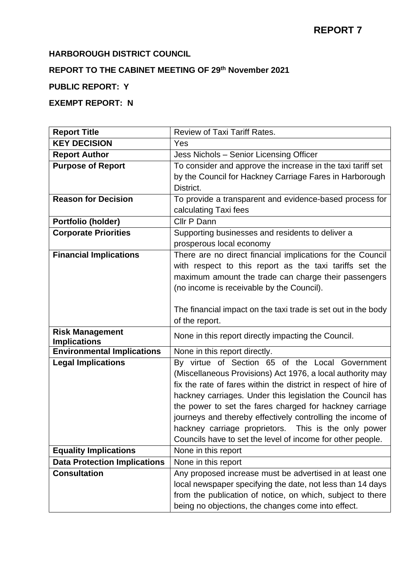### **HARBOROUGH DISTRICT COUNCIL**

# **REPORT TO THE CABINET MEETING OF 29th November 2021**

# **PUBLIC REPORT: Y**

# **EXEMPT REPORT: N**

| <b>Report Title</b>                           | Review of Taxi Tariff Rates.                                    |  |  |  |  |
|-----------------------------------------------|-----------------------------------------------------------------|--|--|--|--|
| <b>KEY DECISION</b>                           | Yes                                                             |  |  |  |  |
| <b>Report Author</b>                          | Jess Nichols - Senior Licensing Officer                         |  |  |  |  |
| <b>Purpose of Report</b>                      | To consider and approve the increase in the taxi tariff set     |  |  |  |  |
|                                               | by the Council for Hackney Carriage Fares in Harborough         |  |  |  |  |
|                                               | District.                                                       |  |  |  |  |
| <b>Reason for Decision</b>                    | To provide a transparent and evidence-based process for         |  |  |  |  |
|                                               | calculating Taxi fees                                           |  |  |  |  |
| Portfolio (holder)                            | Cllr P Dann                                                     |  |  |  |  |
| <b>Corporate Priorities</b>                   | Supporting businesses and residents to deliver a                |  |  |  |  |
|                                               | prosperous local economy                                        |  |  |  |  |
| <b>Financial Implications</b>                 | There are no direct financial implications for the Council      |  |  |  |  |
|                                               | with respect to this report as the taxi tariffs set the         |  |  |  |  |
|                                               | maximum amount the trade can charge their passengers            |  |  |  |  |
|                                               | (no income is receivable by the Council).                       |  |  |  |  |
|                                               |                                                                 |  |  |  |  |
|                                               | The financial impact on the taxi trade is set out in the body   |  |  |  |  |
|                                               | of the report.                                                  |  |  |  |  |
| <b>Risk Management</b><br><b>Implications</b> | None in this report directly impacting the Council.             |  |  |  |  |
| <b>Environmental Implications</b>             | None in this report directly.                                   |  |  |  |  |
| <b>Legal Implications</b>                     | By virtue of Section 65 of the Local Government                 |  |  |  |  |
|                                               | (Miscellaneous Provisions) Act 1976, a local authority may      |  |  |  |  |
|                                               | fix the rate of fares within the district in respect of hire of |  |  |  |  |
|                                               | hackney carriages. Under this legislation the Council has       |  |  |  |  |
|                                               | the power to set the fares charged for hackney carriage         |  |  |  |  |
|                                               | journeys and thereby effectively controlling the income of      |  |  |  |  |
|                                               | hackney carriage proprietors. This is the only power            |  |  |  |  |
|                                               | Councils have to set the level of income for other people.      |  |  |  |  |
| <b>Equality Implications</b>                  | None in this report                                             |  |  |  |  |
| <b>Data Protection Implications</b>           | None in this report                                             |  |  |  |  |
| <b>Consultation</b>                           | Any proposed increase must be advertised in at least one        |  |  |  |  |
|                                               | local newspaper specifying the date, not less than 14 days      |  |  |  |  |
|                                               | from the publication of notice, on which, subject to there      |  |  |  |  |
|                                               | being no objections, the changes come into effect.              |  |  |  |  |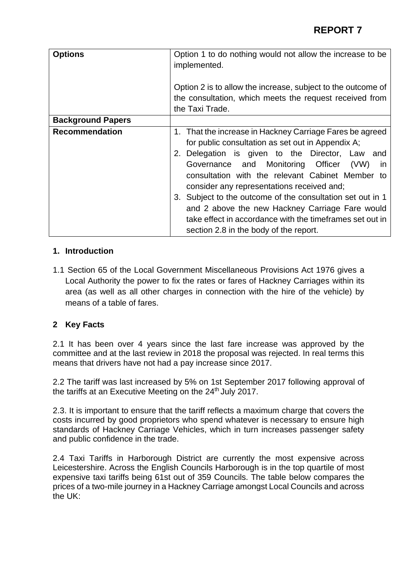| <b>Options</b>           | Option 1 to do nothing would not allow the increase to be<br>implemented.                                                                                                                                                                                                                                                                                                                                                                                                                                                                           |  |  |  |
|--------------------------|-----------------------------------------------------------------------------------------------------------------------------------------------------------------------------------------------------------------------------------------------------------------------------------------------------------------------------------------------------------------------------------------------------------------------------------------------------------------------------------------------------------------------------------------------------|--|--|--|
|                          | Option 2 is to allow the increase, subject to the outcome of<br>the consultation, which meets the request received from<br>the Taxi Trade.                                                                                                                                                                                                                                                                                                                                                                                                          |  |  |  |
| <b>Background Papers</b> |                                                                                                                                                                                                                                                                                                                                                                                                                                                                                                                                                     |  |  |  |
| <b>Recommendation</b>    | 1. That the increase in Hackney Carriage Fares be agreed<br>for public consultation as set out in Appendix A;<br>Delegation is given to the Director, Law<br>and<br>2.<br>Governance and Monitoring Officer<br>(VW)<br>in.<br>consultation with the relevant Cabinet Member to<br>consider any representations received and;<br>3. Subject to the outcome of the consultation set out in 1<br>and 2 above the new Hackney Carriage Fare would<br>take effect in accordance with the timeframes set out in<br>section 2.8 in the body of the report. |  |  |  |

#### **1. Introduction**

1.1 Section 65 of the Local Government Miscellaneous Provisions Act 1976 gives a Local Authority the power to fix the rates or fares of Hackney Carriages within its area (as well as all other charges in connection with the hire of the vehicle) by means of a table of fares.

#### **2 Key Facts**

2.1 It has been over 4 years since the last fare increase was approved by the committee and at the last review in 2018 the proposal was rejected. In real terms this means that drivers have not had a pay increase since 2017.

2.2 The tariff was last increased by 5% on 1st September 2017 following approval of the tariffs at an Executive Meeting on the 24<sup>th</sup> July 2017.

2.3. It is important to ensure that the tariff reflects a maximum charge that covers the costs incurred by good proprietors who spend whatever is necessary to ensure high standards of Hackney Carriage Vehicles, which in turn increases passenger safety and public confidence in the trade.

2.4 Taxi Tariffs in Harborough District are currently the most expensive across Leicestershire. Across the English Councils Harborough is in the top quartile of most expensive taxi tariffs being 61st out of 359 Councils. The table below compares the prices of a two-mile journey in a Hackney Carriage amongst Local Councils and across the UK: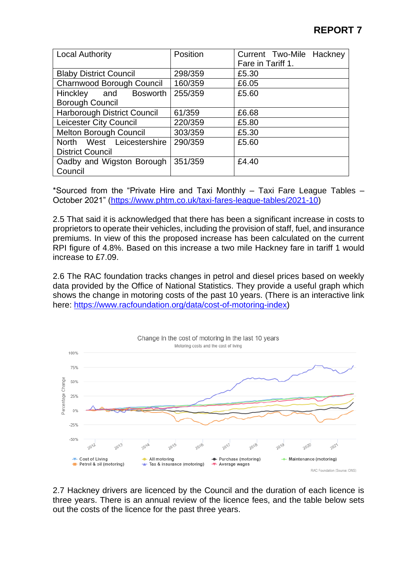| <b>Local Authority</b>             | Position | Current Two-Mile Hackney<br>Fare in Tariff 1. |  |  |
|------------------------------------|----------|-----------------------------------------------|--|--|
|                                    |          |                                               |  |  |
| <b>Blaby District Council</b>      | 298/359  | £5.30                                         |  |  |
| <b>Charnwood Borough Council</b>   | 160/359  | £6.05                                         |  |  |
| Hinckley and Bosworth              | 255/359  | £5.60                                         |  |  |
| <b>Borough Council</b>             |          |                                               |  |  |
| <b>Harborough District Council</b> | 61/359   | £6.68                                         |  |  |
| Leicester City Council             | 220/359  | £5.80                                         |  |  |
| <b>Melton Borough Council</b>      | 303/359  | £5.30                                         |  |  |
| North West Leicestershire          | 290/359  | £5.60                                         |  |  |
| <b>District Council</b>            |          |                                               |  |  |
| Oadby and Wigston Borough          | 351/359  | £4.40                                         |  |  |
| Council                            |          |                                               |  |  |

\*Sourced from the "Private Hire and Taxi Monthly – Taxi Fare League Tables – October 2021" [\(https://www.phtm.co.uk/taxi-fares-league-tables/2021-10\)](https://www.phtm.co.uk/taxi-fares-league-tables/2021-10)

2.5 That said it is acknowledged that there has been a significant increase in costs to proprietors to operate their vehicles, including the provision of staff, fuel, and insurance premiums. In view of this the proposed increase has been calculated on the current RPI figure of 4.8%. Based on this increase a two mile Hackney fare in tariff 1 would increase to £7.09.

2.6 The RAC foundation tracks changes in petrol and diesel prices based on weekly data provided by the Office of National Statistics. They provide a useful graph which shows the change in motoring costs of the past 10 years. (There is an interactive link here: [https://www.racfoundation.org/data/cost-of-motoring-index\)](https://www.racfoundation.org/data/cost-of-motoring-index)



2.7 Hackney drivers are licenced by the Council and the duration of each licence is three years. There is an annual review of the licence fees, and the table below sets out the costs of the licence for the past three years.